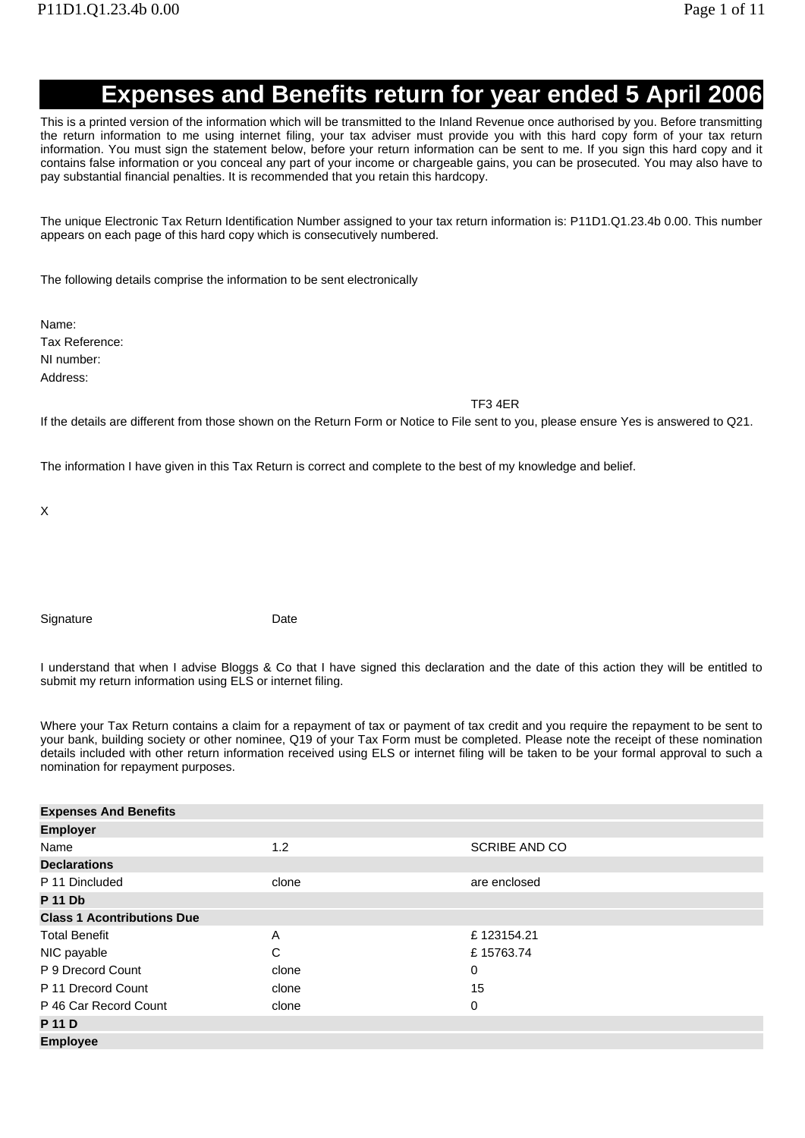## **Expenses and Benefits return for year ended 5 April 2006**

This is a printed version of the information which will be transmitted to the Inland Revenue once authorised by you. Before transmitting the return information to me using internet filing, your tax adviser must provide you with this hard copy form of your tax return information. You must sign the statement below, before your return information can be sent to me. If you sign this hard copy and it contains false information or you conceal any part of your income or chargeable gains, you can be prosecuted. You may also have to pay substantial financial penalties. It is recommended that you retain this hardcopy.

The unique Electronic Tax Return Identification Number assigned to your tax return information is: P11D1.Q1.23.4b 0.00. This number appears on each page of this hard copy which is consecutively numbered.

The following details comprise the information to be sent electronically

Name: Tax Reference: NI number:

Address:

TF3 4ER

If the details are different from those shown on the Return Form or Notice to File sent to you, please ensure Yes is answered to Q21.

The information I have given in this Tax Return is correct and complete to the best of my knowledge and belief.

X

Signature Date

I understand that when I advise Bloggs & Co that I have signed this declaration and the date of this action they will be entitled to submit my return information using ELS or internet filing.

Where your Tax Return contains a claim for a repayment of tax or payment of tax credit and you require the repayment to be sent to your bank, building society or other nominee, Q19 of your Tax Form must be completed. Please note the receipt of these nomination details included with other return information received using ELS or internet filing will be taken to be your formal approval to such a nomination for repayment purposes.

| <b>Expenses And Benefits</b>      |       |                      |
|-----------------------------------|-------|----------------------|
| <b>Employer</b>                   |       |                      |
| Name                              | 1.2   | <b>SCRIBE AND CO</b> |
| <b>Declarations</b>               |       |                      |
| P 11 Dincluded                    | clone | are enclosed         |
| <b>P 11 Db</b>                    |       |                      |
| <b>Class 1 Acontributions Due</b> |       |                      |
| <b>Total Benefit</b>              | A     | £123154.21           |
| NIC payable                       | C     | £15763.74            |
| P 9 Drecord Count                 | clone | 0                    |
| P 11 Drecord Count                | clone | 15                   |
| P 46 Car Record Count             | clone | 0                    |
| <b>P</b> 11 <b>D</b>              |       |                      |
| <b>Employee</b>                   |       |                      |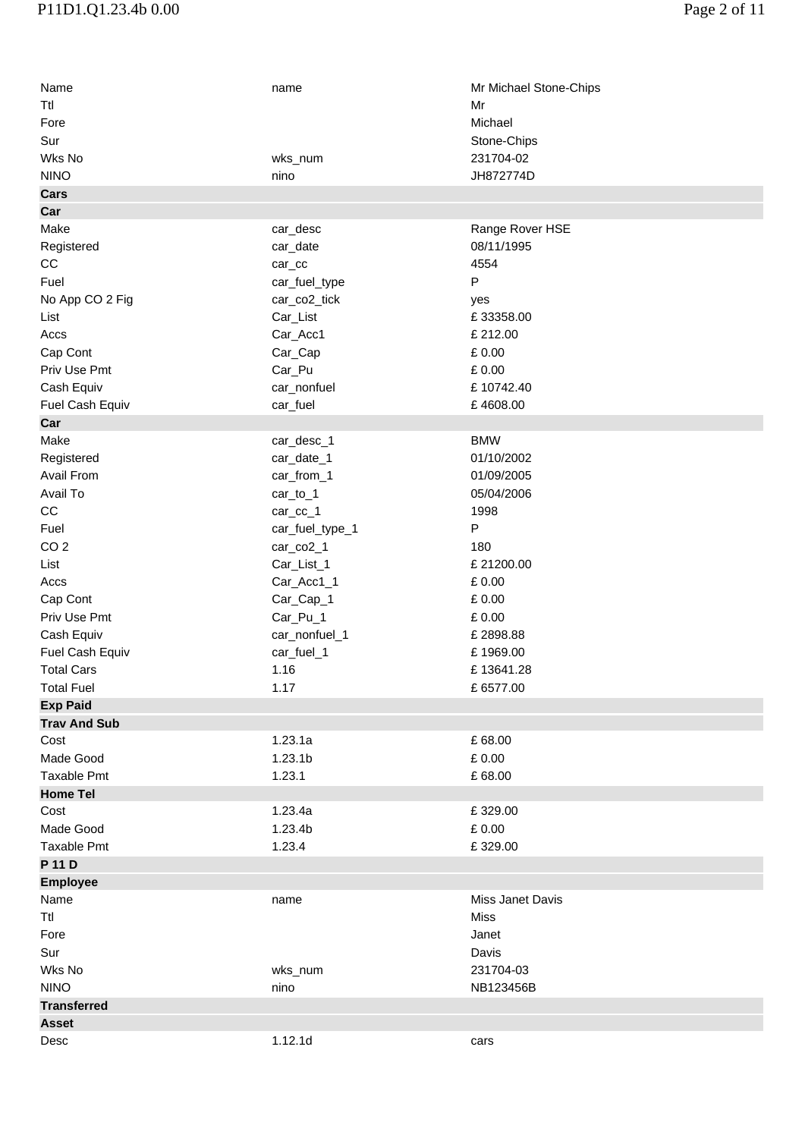| Name                | name                | Mr Michael Stone-Chips |
|---------------------|---------------------|------------------------|
| Ttl                 |                     | Mr                     |
| Fore                |                     | Michael                |
| Sur                 |                     | Stone-Chips            |
| Wks No              | wks_num             | 231704-02              |
| <b>NINO</b>         | nino                | JH872774D              |
| Cars                |                     |                        |
| Car                 |                     |                        |
| Make                | car_desc            | Range Rover HSE        |
| Registered          | car_date            | 08/11/1995             |
| $_{\rm CC}$         | $car_{cc}$          | 4554                   |
| Fuel                | car_fuel_type       | P                      |
| No App CO 2 Fig     | car_co2_tick        | yes                    |
| List                | Car_List            | £33358.00              |
| Accs                | Car_Acc1            | £ 212.00               |
| Cap Cont            | Car_Cap             | £0.00                  |
| Priv Use Pmt        |                     | £0.00                  |
|                     | Car_Pu              | £10742.40              |
| Cash Equiv          | car_nonfuel         |                        |
| Fuel Cash Equiv     | car_fuel            | £4608.00               |
| Car                 |                     |                        |
| Make                | car_desc_1          | <b>BMW</b>             |
| Registered          | car_date_1          | 01/10/2002             |
| <b>Avail From</b>   | car_from_1          | 01/09/2005             |
| Avail To            | car_to_1            | 05/04/2006             |
| CC                  | car_cc_1            | 1998                   |
| Fuel                | car_fuel_type_1     | P                      |
| CO <sub>2</sub>     | car_co2_1           | 180                    |
| List                | Car_List_1          | £21200.00              |
| Accs                | Car_Acc1_1          | £ 0.00                 |
| Cap Cont            | Car_Cap_1           | £0.00                  |
| Priv Use Pmt        | Car_Pu_1            | £0.00                  |
| Cash Equiv          | car_nonfuel_1       | £2898.88               |
| Fuel Cash Equiv     | car_fuel_1          | £1969.00               |
| <b>Total Cars</b>   | 1.16                | £13641.28              |
| <b>Total Fuel</b>   | 1.17                | £6577.00               |
| <b>Exp Paid</b>     |                     |                        |
| <b>Trav And Sub</b> |                     |                        |
| Cost                | 1.23.1a             | £68.00                 |
| Made Good           | 1.23.1 <sub>b</sub> | £ 0.00                 |
| <b>Taxable Pmt</b>  | 1.23.1              | £68.00                 |
| <b>Home Tel</b>     |                     |                        |
| Cost                | 1.23.4a             | £329.00                |
| Made Good           | 1.23.4b             | £0.00                  |
| Taxable Pmt         | 1.23.4              | £329.00                |
| P 11 D              |                     |                        |
| <b>Employee</b>     |                     |                        |
| Name                | name                | Miss Janet Davis       |
| Ttl                 |                     | Miss                   |
| Fore                |                     | Janet                  |
| Sur                 |                     | Davis                  |
| Wks No              | wks_num             | 231704-03              |
| <b>NINO</b>         | nino                | NB123456B              |
| <b>Transferred</b>  |                     |                        |
| <b>Asset</b>        |                     |                        |
| Desc                | 1.12.1d             | cars                   |
|                     |                     |                        |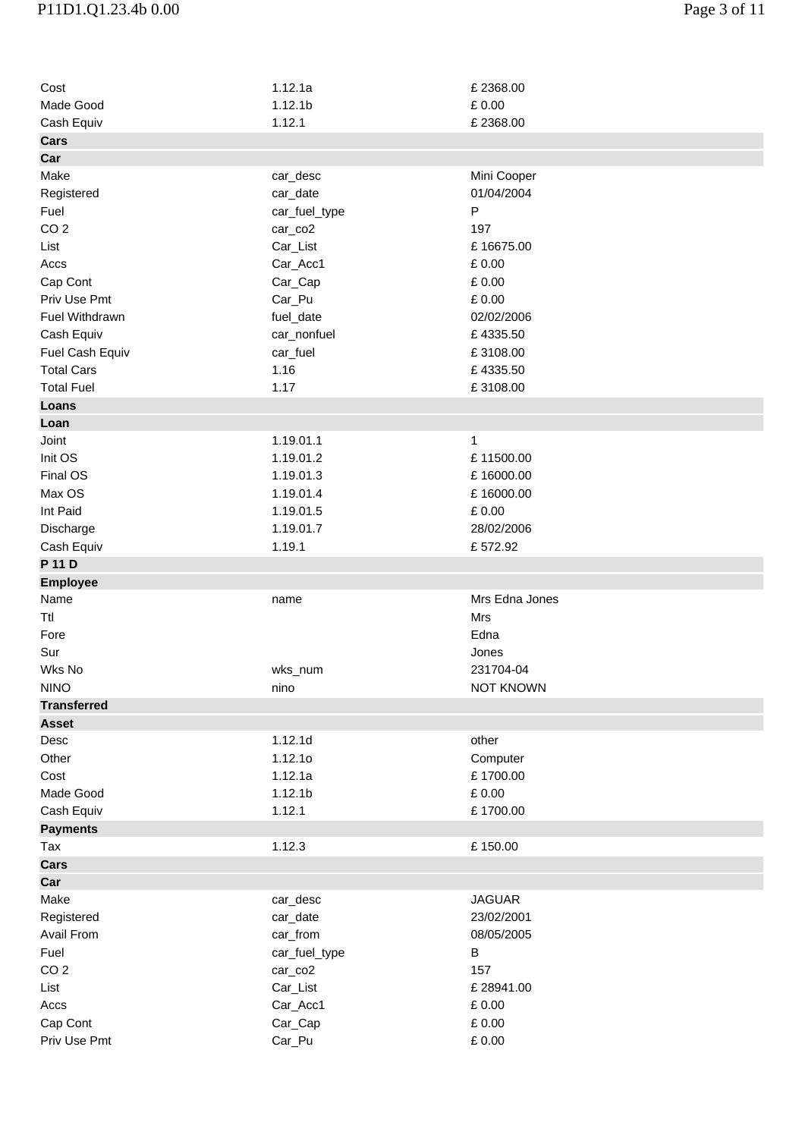| Cost                     | 1.12.1a             | £2368.00                 |
|--------------------------|---------------------|--------------------------|
| Made Good                | 1.12.1 <sub>b</sub> | £ 0.00                   |
| Cash Equiv               | 1.12.1              | £2368.00                 |
| <b>Cars</b>              |                     |                          |
| Car                      |                     |                          |
| Make                     | car_desc            | Mini Cooper              |
| Registered               | car_date            | 01/04/2004               |
| Fuel                     | car_fuel_type       | P                        |
| CO <sub>2</sub>          | car_co2             | 197                      |
| List                     | Car_List            | £16675.00                |
| Accs                     | Car_Acc1            | £ 0.00                   |
| Cap Cont                 | Car_Cap             | £ 0.00                   |
| Priv Use Pmt             | Car_Pu              | £ 0.00                   |
| Fuel Withdrawn           | fuel_date           | 02/02/2006               |
| Cash Equiv               | car_nonfuel         | £4335.50                 |
| Fuel Cash Equiv          | car_fuel            | £3108.00                 |
| <b>Total Cars</b>        | 1.16                | £4335.50                 |
| <b>Total Fuel</b>        | 1.17                | £3108.00                 |
| Loans                    |                     |                          |
| Loan                     |                     |                          |
| Joint                    | 1.19.01.1           | 1                        |
| Init OS                  | 1.19.01.2           | £11500.00                |
| Final OS                 | 1.19.01.3           | £16000.00                |
| Max OS                   | 1.19.01.4           | £16000.00                |
| Int Paid                 | 1.19.01.5           | £ 0.00                   |
| Discharge                | 1.19.01.7           | 28/02/2006               |
| Cash Equiv               | 1.19.1              | £572.92                  |
| P 11 D                   |                     |                          |
|                          |                     |                          |
|                          |                     |                          |
| <b>Employee</b><br>Name  | name                | Mrs Edna Jones           |
|                          |                     | Mrs                      |
| Ttl                      |                     |                          |
| Fore                     |                     | Edna                     |
| Sur                      |                     | Jones                    |
| Wks No                   | wks_num             | 231704-04                |
| <b>NINO</b>              | nino                | <b>NOT KNOWN</b>         |
| <b>Transferred</b>       |                     |                          |
| <b>Asset</b>             |                     |                          |
| Desc                     | 1.12.1d             | other                    |
| Other                    | 1.12.10             | Computer                 |
| Cost                     | 1.12.1a             | £1700.00                 |
| Made Good                | 1.12.1 <sub>b</sub> | £ 0.00                   |
| Cash Equiv               | 1.12.1              | £1700.00                 |
| <b>Payments</b>          |                     |                          |
| Tax                      | 1.12.3              | £150.00                  |
| <b>Cars</b>              |                     |                          |
| Car                      |                     |                          |
| Make                     | car_desc            | <b>JAGUAR</b>            |
| Registered               | car_date            | 23/02/2001               |
| Avail From               | car_from            | 08/05/2005               |
| Fuel                     | car_fuel_type       | В                        |
| CO <sub>2</sub>          | car_co2             | 157                      |
| List                     | Car_List            | £28941.00                |
| Accs                     | Car_Acc1            | £ 0.00                   |
| Cap Cont<br>Priv Use Pmt | Car_Cap<br>Car_Pu   | £ 0.00<br>$\pounds$ 0.00 |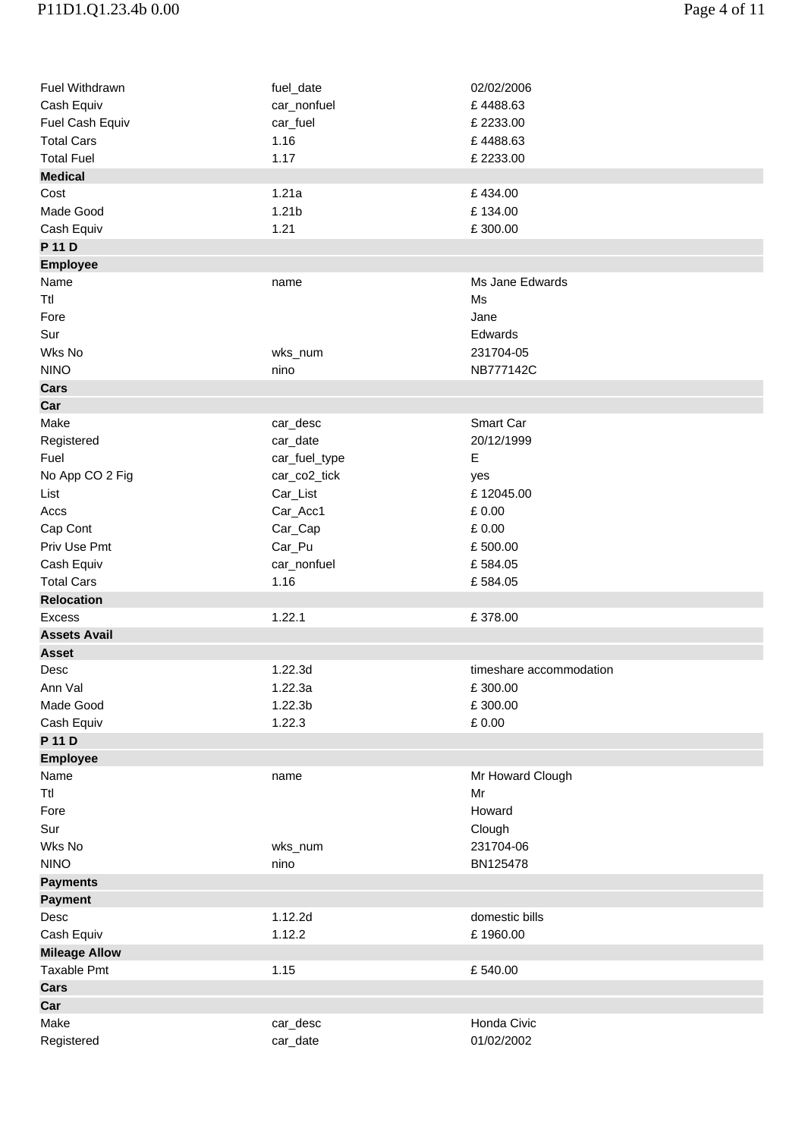| Fuel Withdrawn       | fuel_date           | 02/02/2006              |
|----------------------|---------------------|-------------------------|
| Cash Equiv           | car_nonfuel         | £4488.63                |
| Fuel Cash Equiv      | car_fuel            | £2233.00                |
| <b>Total Cars</b>    | 1.16                | £4488.63                |
| <b>Total Fuel</b>    | 1.17                | £2233.00                |
| <b>Medical</b>       |                     |                         |
| Cost                 | 1.21a               | £434.00                 |
| Made Good            | 1.21 <sub>b</sub>   | £134.00                 |
| Cash Equiv           | 1.21                | £300.00                 |
| P 11 D               |                     |                         |
| <b>Employee</b>      |                     |                         |
| Name                 | name                | Ms Jane Edwards         |
| Ttl                  |                     | Ms                      |
| Fore                 |                     | Jane                    |
| Sur                  |                     | Edwards                 |
|                      |                     |                         |
| Wks No               | wks_num             | 231704-05               |
| <b>NINO</b>          | nino                | NB777142C               |
| <b>Cars</b>          |                     |                         |
| Car                  |                     |                         |
| Make                 | car_desc            | Smart Car               |
| Registered           | car_date            | 20/12/1999              |
| Fuel                 | car_fuel_type       | E                       |
| No App CO 2 Fig      | car_co2_tick        | yes                     |
| List                 | Car_List            | £12045.00               |
| Accs                 | Car_Acc1            | £0.00                   |
| Cap Cont             | Car_Cap             | £0.00                   |
| Priv Use Pmt         | Car_Pu              | £500.00                 |
| Cash Equiv           | car_nonfuel         | £584.05                 |
| <b>Total Cars</b>    | 1.16                | £584.05                 |
| <b>Relocation</b>    |                     |                         |
| <b>Excess</b>        | 1.22.1              | £378.00                 |
| <b>Assets Avail</b>  |                     |                         |
| <b>Asset</b>         |                     |                         |
| Desc                 | 1.22.3d             | timeshare accommodation |
|                      | 1.22.3a             |                         |
| Ann Val              |                     | £300.00                 |
| Made Good            | 1.22.3 <sub>b</sub> | £300.00                 |
| Cash Equiv           | 1.22.3              | £ 0.00                  |
| P 11 D               |                     |                         |
| <b>Employee</b>      |                     |                         |
| Name                 | name                | Mr Howard Clough        |
| Ttl                  |                     | Mr                      |
| Fore                 |                     | Howard                  |
| Sur                  |                     | Clough                  |
| Wks No               | wks_num             | 231704-06               |
| <b>NINO</b>          | nino                | BN125478                |
| <b>Payments</b>      |                     |                         |
| <b>Payment</b>       |                     |                         |
| Desc                 | 1.12.2d             | domestic bills          |
| Cash Equiv           | 1.12.2              | £1960.00                |
| <b>Mileage Allow</b> |                     |                         |
| Taxable Pmt          | 1.15                | £540.00                 |
| Cars                 |                     |                         |
| Car                  |                     |                         |
| Make                 | car_desc            | Honda Civic             |
|                      |                     | 01/02/2002              |
| Registered           | car_date            |                         |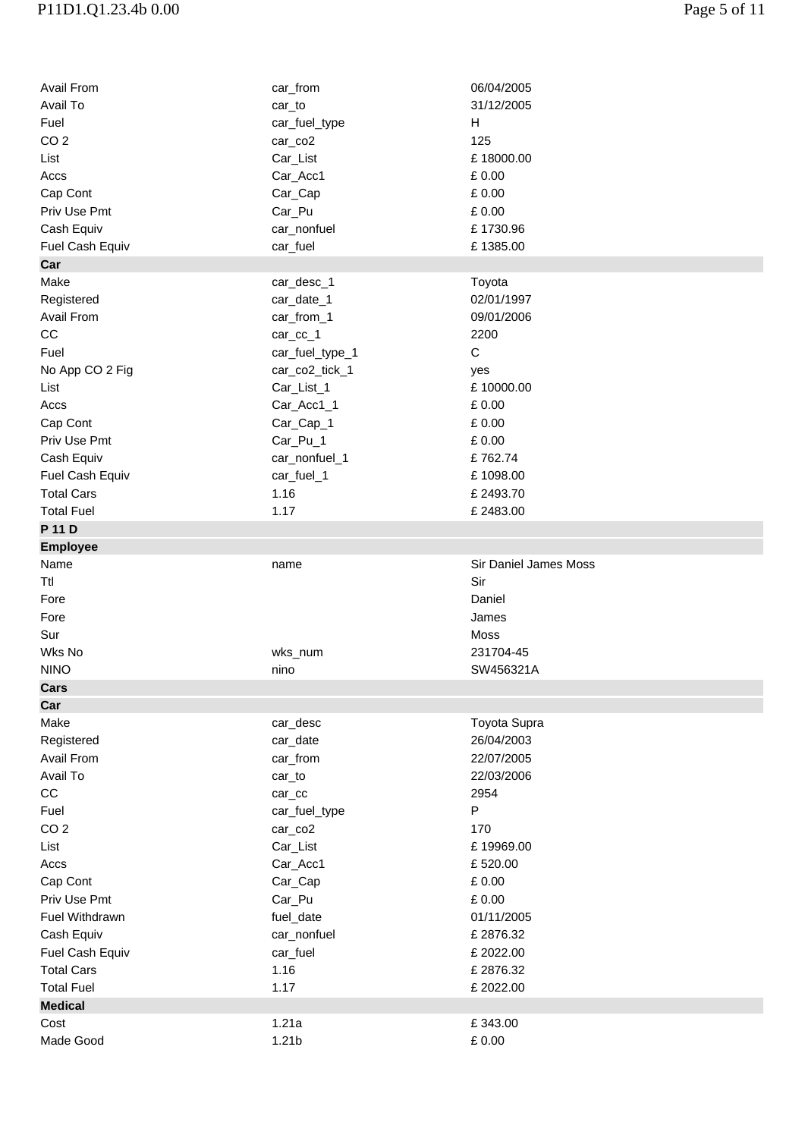## P11D1.Q1.23.4b 0.00 Page 5 of 11

| Avail From              | car_from           | 06/04/2005            |
|-------------------------|--------------------|-----------------------|
| Avail To                | car_to             | 31/12/2005            |
| Fuel                    | car_fuel_type      | H                     |
| CO <sub>2</sub>         | car_co2            | 125                   |
| List                    | Car_List           | £18000.00             |
| Accs                    | Car_Acc1           | £0.00                 |
| Cap Cont                | Car_Cap            | £0.00                 |
| Priv Use Pmt            | Car_Pu             | £0.00                 |
| Cash Equiv              | car_nonfuel        | £1730.96              |
| Fuel Cash Equiv         | car_fuel           | £1385.00              |
| Car                     |                    |                       |
| Make                    | car_desc_1         | Toyota                |
| Registered              | car_date_1         | 02/01/1997            |
| Avail From              | car_from_1         | 09/01/2006            |
| CC                      | car_cc_1           | 2200                  |
| Fuel                    | car_fuel_type_1    | $\mathsf C$           |
| No App CO 2 Fig         | car_co2_tick_1     | yes                   |
| List                    | Car_List_1         | £10000.00             |
| Accs                    | Car_Acc1_1         | £ 0.00                |
| Cap Cont                | Car_Cap_1          | £ 0.00                |
| Priv Use Pmt            | Car_Pu_1           | $\pounds$ 0.00        |
| Cash Equiv              | car_nonfuel_1      | £762.74               |
| Fuel Cash Equiv         |                    | £1098.00              |
| <b>Total Cars</b>       | car_fuel_1<br>1.16 | £2493.70              |
| <b>Total Fuel</b>       | 1.17               | £2483.00              |
|                         |                    |                       |
| P 11 D                  |                    |                       |
| <b>Employee</b><br>Name | name               | Sir Daniel James Moss |
|                         |                    |                       |
|                         |                    |                       |
| Ttl                     |                    | Sir                   |
| Fore                    |                    | Daniel                |
| Fore                    |                    | James                 |
| Sur                     |                    | Moss                  |
| Wks No                  | wks_num            | 231704-45             |
| <b>NINO</b>             | nino               | SW456321A             |
| Cars                    |                    |                       |
| Car                     |                    |                       |
| Make                    | car_desc           | Toyota Supra          |
| Registered              | car_date           | 26/04/2003            |
| Avail From              | car_from           | 22/07/2005            |
| Avail To                | car_to             | 22/03/2006            |
| CC                      | $car_{cc}$         | 2954                  |
| Fuel                    | car_fuel_type      | P                     |
| CO <sub>2</sub>         | car_co2            | 170                   |
| List                    | Car_List           | £19969.00             |
| Accs                    | Car_Acc1           | £520.00               |
| Cap Cont                | Car_Cap            | £0.00                 |
| Priv Use Pmt            | Car_Pu             | £0.00                 |
| Fuel Withdrawn          | fuel_date          | 01/11/2005            |
| Cash Equiv              | car_nonfuel        | £2876.32              |
| Fuel Cash Equiv         | car_fuel           | £2022.00              |
| <b>Total Cars</b>       | 1.16               | £2876.32              |
| <b>Total Fuel</b>       | 1.17               | £2022.00              |
| <b>Medical</b>          |                    |                       |
| Cost                    | 1.21a              | £343.00               |
| Made Good               | 1.21 <sub>b</sub>  | £0.00                 |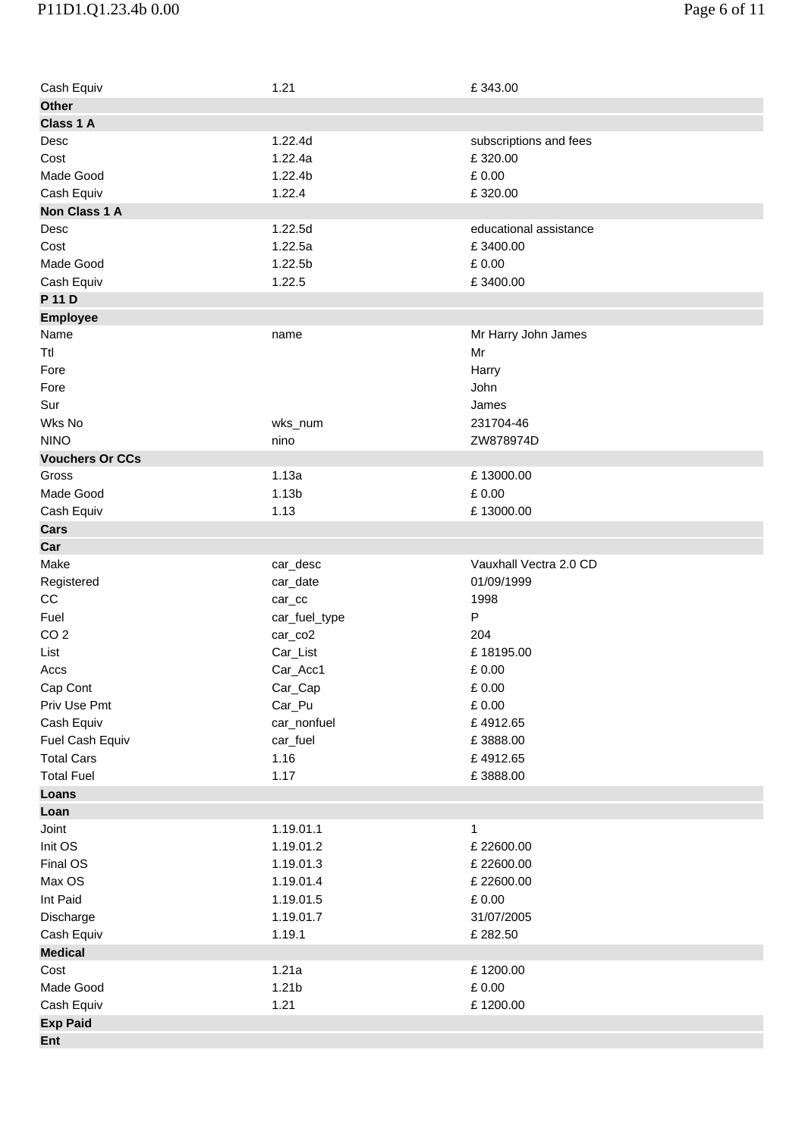| Cash Equiv             | 1.21                        | £343.00                |
|------------------------|-----------------------------|------------------------|
| <b>Other</b>           |                             |                        |
| Class 1 A              |                             |                        |
| Desc                   | 1.22.4d                     | subscriptions and fees |
| Cost                   | 1.22.4a                     | £320.00                |
| Made Good              | 1.22.4b                     | £0.00                  |
| Cash Equiv             | 1.22.4                      | £320.00                |
| Non Class 1 A          |                             |                        |
| Desc                   | 1.22.5d                     | educational assistance |
| Cost                   | 1.22.5a                     | £3400.00               |
| Made Good              | 1.22.5b                     | £0.00                  |
| Cash Equiv             | 1.22.5                      | £3400.00               |
| P 11 D                 |                             |                        |
| <b>Employee</b>        |                             |                        |
| Name                   | name                        | Mr Harry John James    |
| Ttl                    |                             | Mr                     |
| Fore                   |                             | Harry                  |
| Fore                   |                             | John                   |
| Sur                    |                             | James                  |
| Wks No                 | wks_num                     | 231704-46              |
| <b>NINO</b>            | nino                        | ZW878974D              |
| <b>Vouchers Or CCs</b> |                             |                        |
| Gross                  | 1.13a                       | £13000.00              |
| Made Good              | 1.13 <sub>b</sub>           | £0.00                  |
| Cash Equiv             | 1.13                        | £13000.00              |
| Cars                   |                             |                        |
| Car                    |                             |                        |
| Make                   | car_desc                    | Vauxhall Vectra 2.0 CD |
| Registered             | car_date                    | 01/09/1999             |
| CC                     |                             | 1998                   |
| Fuel                   | $car_{cc}$<br>car_fuel_type | P                      |
| CO <sub>2</sub>        | car_co2                     | 204                    |
| List                   | Car_List                    | £18195.00              |
| Accs                   | Car_Acc1                    | £0.00                  |
| Cap Cont               | Car_Cap                     | $\pounds$ 0.00         |
| Priv Use Pmt           |                             | £ 0.00                 |
| Cash Equiv             | Car_Pu<br>car_nonfuel       | £4912.65               |
|                        |                             | £3888.00               |
| Fuel Cash Equiv        | car_fuel                    |                        |
| <b>Total Cars</b>      | 1.16                        | £4912.65               |
| <b>Total Fuel</b>      | 1.17                        | £3888.00               |
| Loans                  |                             |                        |
| Loan                   |                             |                        |
| Joint                  | 1.19.01.1                   | 1                      |
| Init OS                | 1.19.01.2                   | £22600.00              |
| Final OS               | 1.19.01.3                   | £22600.00              |
| Max OS                 | 1.19.01.4                   | £22600.00              |
| Int Paid               | 1.19.01.5                   | £ 0.00                 |
| Discharge              | 1.19.01.7                   | 31/07/2005             |
| Cash Equiv             | 1.19.1                      | £282.50                |
| <b>Medical</b>         |                             |                        |
| Cost                   | 1.21a                       | £1200.00               |
| Made Good              | 1.21 <sub>b</sub>           | $\pounds$ 0.00         |
| Cash Equiv             | 1.21                        | £1200.00               |
| <b>Exp Paid</b>        |                             |                        |
| Ent                    |                             |                        |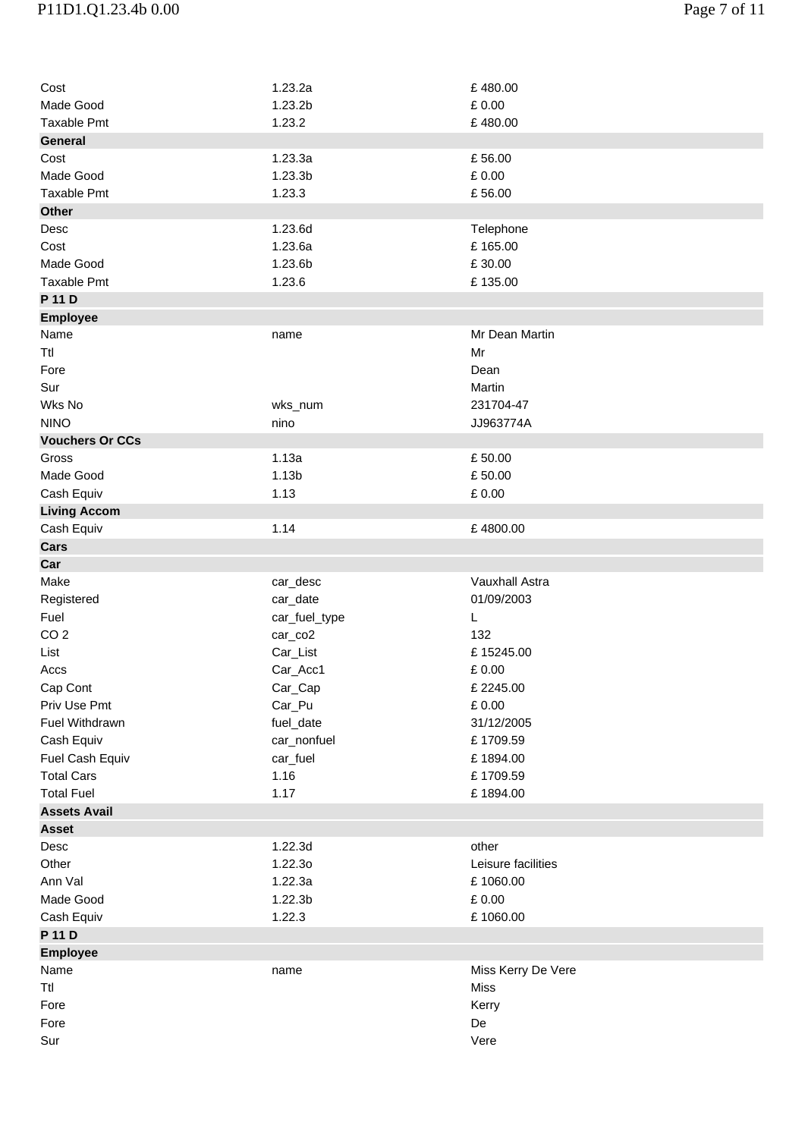## P11D1.Q1.23.4b 0.00 Page 7 of 11

| Cost                   | 1.23.2a             | £480.00            |
|------------------------|---------------------|--------------------|
| Made Good              | 1.23.2b             | £ 0.00             |
| <b>Taxable Pmt</b>     | 1.23.2              | £480.00            |
| <b>General</b>         |                     |                    |
| Cost                   | 1.23.3a             | £56.00             |
| Made Good              | 1.23.3b             | £0.00              |
| <b>Taxable Pmt</b>     | 1.23.3              | £56.00             |
| <b>Other</b>           |                     |                    |
| Desc                   | 1.23.6d             | Telephone          |
| Cost                   | 1.23.6a             | £165.00            |
| Made Good              | 1.23.6b             | £30.00             |
| <b>Taxable Pmt</b>     | 1.23.6              | £135.00            |
| P 11 D                 |                     |                    |
| <b>Employee</b>        |                     |                    |
| Name                   | name                | Mr Dean Martin     |
| Ttl                    |                     | Mr                 |
| Fore                   |                     | Dean               |
| Sur                    |                     | Martin             |
| Wks No                 | wks_num             | 231704-47          |
| <b>NINO</b>            | nino                | JJ963774A          |
| <b>Vouchers Or CCs</b> |                     |                    |
| Gross                  | 1.13a               | £50.00             |
| Made Good              | 1.13 <sub>b</sub>   | £50.00             |
| Cash Equiv             | 1.13                | £ 0.00             |
| <b>Living Accom</b>    |                     |                    |
| Cash Equiv             | 1.14                | £4800.00           |
| Cars                   |                     |                    |
| Car                    |                     |                    |
| Make                   | car_desc            | Vauxhall Astra     |
| Registered             | car_date            | 01/09/2003         |
| Fuel                   | car_fuel_type       | L                  |
| CO <sub>2</sub>        | car_co2             | 132                |
| List                   | Car_List            | £15245.00          |
| Accs                   | Car_Acc1            | £0.00              |
| Cap Cont               | Car_Cap             | £2245.00           |
| Priv Use Pmt           | Car_Pu              | £ 0.00             |
| Fuel Withdrawn         | fuel_date           | 31/12/2005         |
| Cash Equiv             | car_nonfuel         | £1709.59           |
| Fuel Cash Equiv        | car_fuel            | £1894.00           |
| <b>Total Cars</b>      | 1.16                | £1709.59           |
| <b>Total Fuel</b>      | 1.17                | £1894.00           |
| <b>Assets Avail</b>    |                     |                    |
| <b>Asset</b>           |                     |                    |
| Desc                   | 1.22.3d             | other              |
| Other                  | 1.22.30             | Leisure facilities |
| Ann Val                | 1.22.3a             | £1060.00           |
| Made Good              | 1.22.3 <sub>b</sub> | £ 0.00             |
| Cash Equiv             | 1.22.3              | £1060.00           |
| P 11 D                 |                     |                    |
| <b>Employee</b>        |                     |                    |
| Name                   | name                | Miss Kerry De Vere |
| Ttl                    |                     | <b>Miss</b>        |
|                        |                     |                    |
| Fore                   |                     | Kerry              |
| Fore                   |                     | De                 |
| Sur                    |                     | Vere               |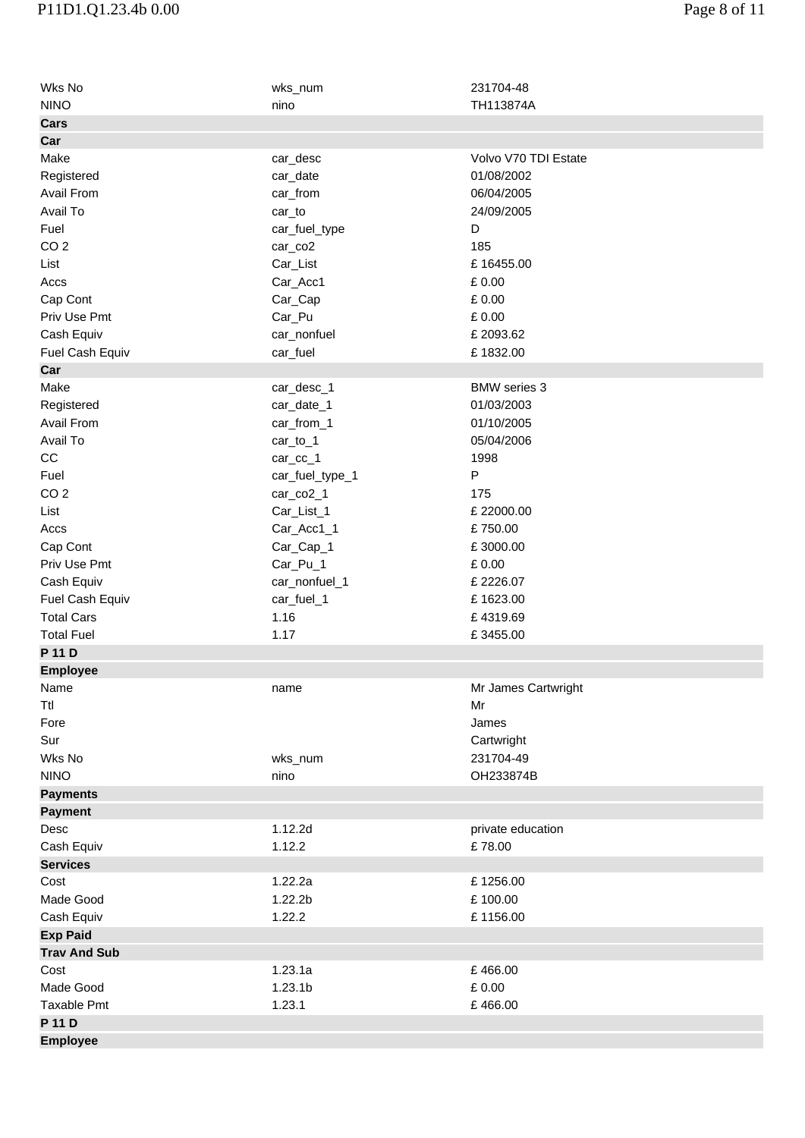| Wks No              | wks_num             | 231704-48            |
|---------------------|---------------------|----------------------|
| <b>NINO</b>         | nino                | TH113874A            |
| Cars                |                     |                      |
| Car                 |                     |                      |
| Make                | car_desc            | Volvo V70 TDI Estate |
| Registered          | car_date            | 01/08/2002           |
| Avail From          | car_from            | 06/04/2005           |
| Avail To            | car_to              | 24/09/2005           |
| Fuel                | car_fuel_type       | D                    |
| CO <sub>2</sub>     | car_co2             | 185                  |
| List                | Car_List            | £16455.00            |
| Accs                | Car_Acc1            | £ 0.00               |
| Cap Cont            | Car_Cap             | £0.00                |
| Priv Use Pmt        | Car_Pu              | £ 0.00               |
| Cash Equiv          | car_nonfuel         | £2093.62             |
| Fuel Cash Equiv     | car_fuel            | £1832.00             |
| Car                 |                     |                      |
| Make                | car_desc_1          | <b>BMW</b> series 3  |
| Registered          | car_date_1          | 01/03/2003           |
| Avail From          | car_from_1          | 01/10/2005           |
| Avail To            | car_to_1            | 05/04/2006           |
| CC                  | car_cc_1            | 1998                 |
| Fuel                | car_fuel_type_1     | P                    |
| CO <sub>2</sub>     | car_co2_1           | 175                  |
| List                | Car_List_1          | £22000.00            |
| Accs                | Car_Acc1_1          | £750.00              |
| Cap Cont            | Car_Cap_1           | £3000.00             |
| Priv Use Pmt        | Car_Pu_1            | £ 0.00               |
| Cash Equiv          | car_nonfuel_1       | £2226.07             |
| Fuel Cash Equiv     | car_fuel_1          | £1623.00             |
| <b>Total Cars</b>   | 1.16                | £4319.69             |
| <b>Total Fuel</b>   | 1.17                | £3455.00             |
| P 11 D              |                     |                      |
| <b>Employee</b>     |                     |                      |
| Name                | name                | Mr James Cartwright  |
| Ttl                 |                     | Mr                   |
| Fore                |                     | James                |
| Sur                 |                     | Cartwright           |
| Wks No              | wks_num             | 231704-49            |
| <b>NINO</b>         | nino                | OH233874B            |
| <b>Payments</b>     |                     |                      |
| <b>Payment</b>      |                     |                      |
| Desc                | 1.12.2d             | private education    |
| Cash Equiv          | 1.12.2              | £78.00               |
| <b>Services</b>     |                     |                      |
| Cost                | 1.22.2a             | £1256.00             |
| Made Good           | 1.22.2 <sub>b</sub> | £100.00              |
| Cash Equiv          | 1.22.2              | £1156.00             |
| <b>Exp Paid</b>     |                     |                      |
| <b>Trav And Sub</b> |                     |                      |
| Cost                | 1.23.1a             | £466.00              |
| Made Good           | 1.23.1 <sub>b</sub> | £0.00                |
| Taxable Pmt         | 1.23.1              | £466.00              |
| P 11 D              |                     |                      |
|                     |                     |                      |
| <b>Employee</b>     |                     |                      |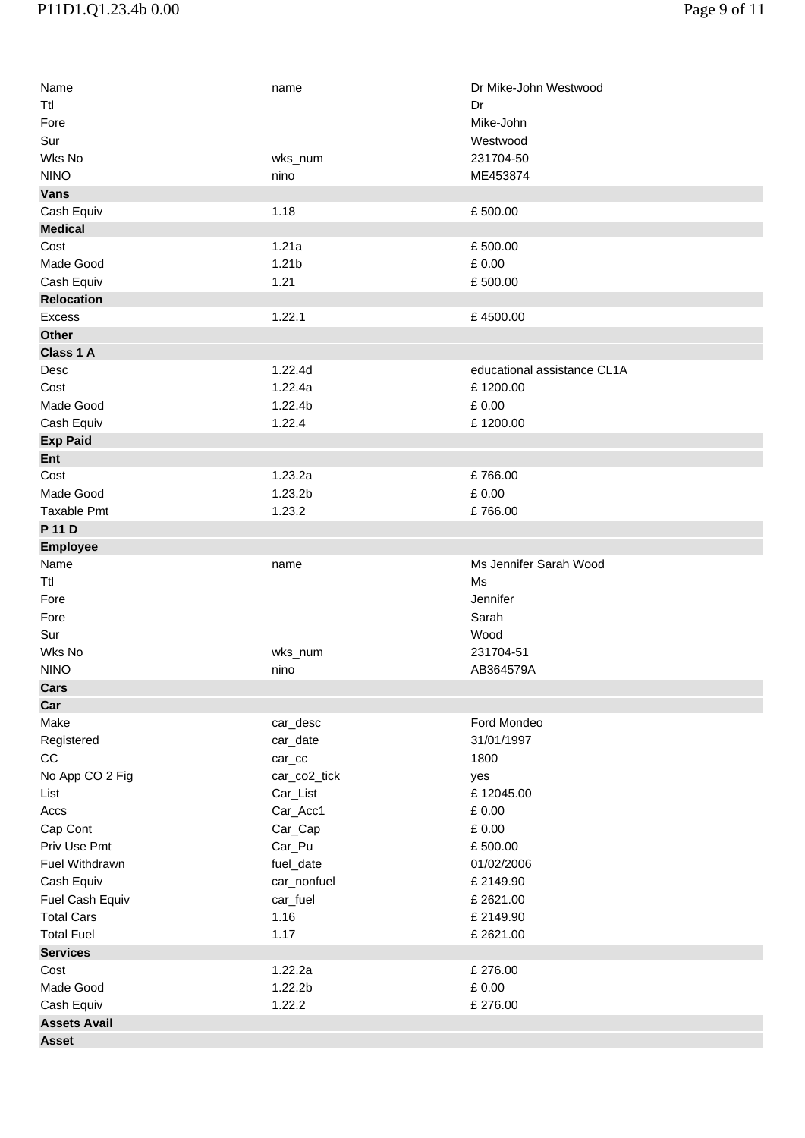| Name                | name              | Dr Mike-John Westwood       |
|---------------------|-------------------|-----------------------------|
| Ttl                 |                   | Dr                          |
| Fore                |                   | Mike-John                   |
|                     |                   |                             |
| Sur                 |                   | Westwood                    |
| Wks No              | wks_num           | 231704-50                   |
| <b>NINO</b>         | nino              | ME453874                    |
| <b>Vans</b>         |                   |                             |
| Cash Equiv          | 1.18              | £500.00                     |
| <b>Medical</b>      |                   |                             |
| Cost                | 1.21a             | £500.00                     |
| Made Good           | 1.21 <sub>b</sub> | £0.00                       |
| Cash Equiv          | 1.21              | £500.00                     |
| <b>Relocation</b>   |                   |                             |
| Excess              | 1.22.1            | £4500.00                    |
| <b>Other</b>        |                   |                             |
| Class 1 A           |                   |                             |
| Desc                | 1.22.4d           | educational assistance CL1A |
| Cost                | 1.22.4a           | £1200.00                    |
| Made Good           | 1.22.4b           | £0.00                       |
| Cash Equiv          | 1.22.4            | £1200.00                    |
| <b>Exp Paid</b>     |                   |                             |
| Ent                 |                   |                             |
| Cost                | 1.23.2a           | £766.00                     |
| Made Good           | 1.23.2b           | £ 0.00                      |
| Taxable Pmt         | 1.23.2            | £766.00                     |
| P 11 D              |                   |                             |
|                     |                   |                             |
| <b>Employee</b>     |                   |                             |
| Name                | name              | Ms Jennifer Sarah Wood      |
| Ttl                 |                   | Ms                          |
| Fore                |                   | Jennifer                    |
| Fore                |                   | Sarah                       |
| Sur                 |                   | Wood                        |
| Wks No              | wks_num           | 231704-51                   |
| <b>NINO</b>         | nino              | AB364579A                   |
| Cars                |                   |                             |
| Car                 |                   |                             |
| Make                | car_desc          | Ford Mondeo                 |
| Registered          | car_date          | 31/01/1997                  |
| CC                  | $car_{c}$         | 1800                        |
| No App CO 2 Fig     | car_co2_tick      | yes                         |
| List                | Car_List          | £12045.00                   |
| Accs                | Car_Acc1          | £0.00                       |
| Cap Cont            | Car_Cap           | £ 0.00                      |
| Priv Use Pmt        | Car_Pu            | £500.00                     |
| Fuel Withdrawn      | fuel_date         | 01/02/2006                  |
| Cash Equiv          | car_nonfuel       | £2149.90                    |
| Fuel Cash Equiv     | car_fuel          | £2621.00                    |
| <b>Total Cars</b>   | 1.16              | £2149.90                    |
| <b>Total Fuel</b>   | 1.17              | £2621.00                    |
| <b>Services</b>     |                   |                             |
| Cost                | 1.22.2a           | £276.00                     |
| Made Good           | 1.22.2b           | £0.00                       |
| Cash Equiv          | 1.22.2            | £276.00                     |
| <b>Assets Avail</b> |                   |                             |
|                     |                   |                             |
| <b>Asset</b>        |                   |                             |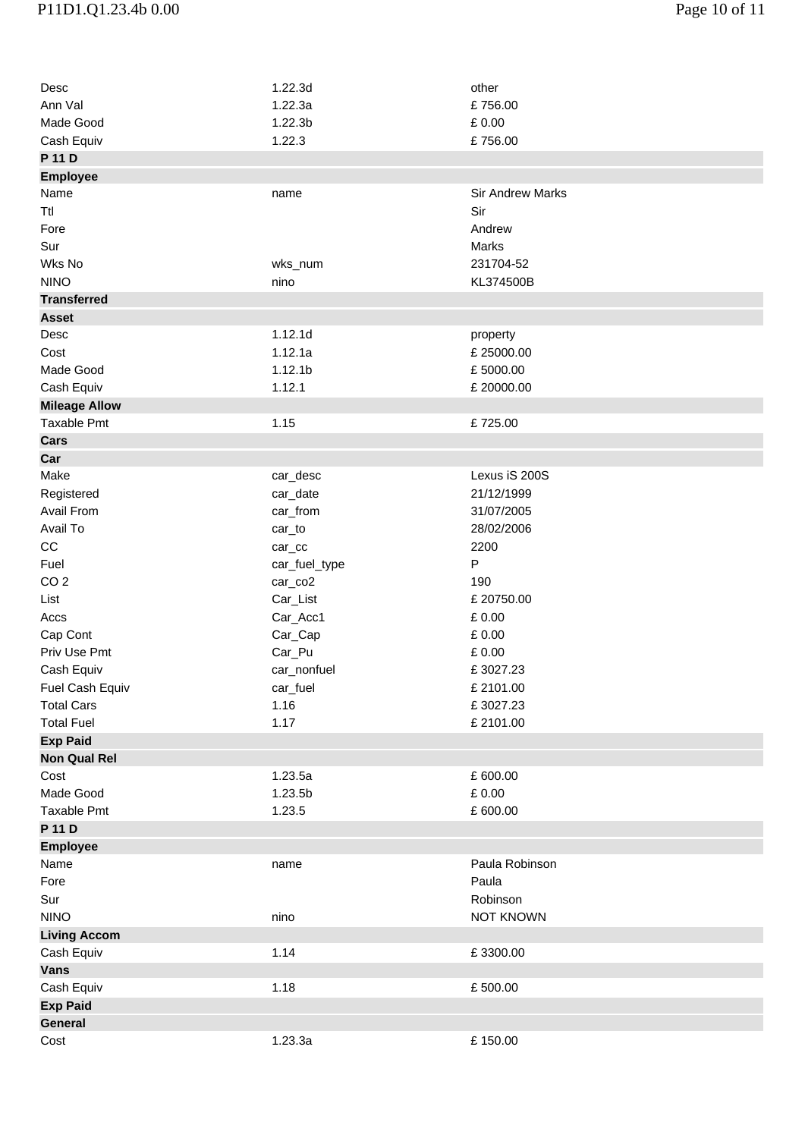| Desc                 | 1.22.3d             | other                        |
|----------------------|---------------------|------------------------------|
| Ann Val              | 1.22.3a             | £756.00                      |
| Made Good            | 1.22.3 <sub>b</sub> | £0.00                        |
| Cash Equiv           | 1.22.3              | £756.00                      |
| P 11 D               |                     |                              |
| <b>Employee</b>      |                     |                              |
| Name                 | name                | <b>Sir Andrew Marks</b>      |
| Ttl                  |                     | Sir                          |
| Fore                 |                     | Andrew                       |
| Sur                  |                     | Marks                        |
| Wks No               | wks_num             | 231704-52                    |
| <b>NINO</b>          | nino                | KL374500B                    |
| <b>Transferred</b>   |                     |                              |
| <b>Asset</b>         |                     |                              |
| Desc                 | 1.12.1d             | property                     |
| Cost                 | 1.12.1a             | £25000.00                    |
| Made Good            | 1.12.1 <sub>b</sub> | £5000.00                     |
|                      |                     |                              |
| Cash Equiv           | 1.12.1              | £20000.00                    |
| <b>Mileage Allow</b> |                     |                              |
| <b>Taxable Pmt</b>   | 1.15                | £725.00                      |
| Cars                 |                     |                              |
| Car                  |                     |                              |
| Make                 | car_desc            | Lexus iS 200S                |
| Registered           | car_date            | 21/12/1999                   |
| Avail From           | car_from            | 31/07/2005                   |
| Avail To             | car_to              | 28/02/2006                   |
| CC                   | $car_{cc}$          | 2200                         |
| Fuel                 | car_fuel_type       | $\mathsf{P}$                 |
| CO <sub>2</sub>      | car_co2             | 190                          |
| List                 | Car_List            | £20750.00                    |
| Accs                 | Car_Acc1            | £0.00                        |
| Cap Cont             | Car_Cap             | £ 0.00                       |
| Priv Use Pmt         | Car_Pu              | £ 0.00                       |
| Cash Equiv           | car_nonfuel         | £3027.23                     |
| Fuel Cash Equiv      | car_fuel            | £2101.00                     |
| <b>Total Cars</b>    | 1.16                | £3027.23                     |
| <b>Total Fuel</b>    | 1.17                | £2101.00                     |
| <b>Exp Paid</b>      |                     |                              |
| <b>Non Qual Rel</b>  |                     |                              |
| Cost                 | 1.23.5a             | £ 600.00                     |
| Made Good            | 1.23.5b             | £0.00                        |
| <b>Taxable Pmt</b>   | 1.23.5              | £ 600.00                     |
| P 11 D               |                     |                              |
| <b>Employee</b>      |                     |                              |
| Name                 | name                | Paula Robinson               |
| Fore                 |                     | Paula                        |
|                      |                     |                              |
| Sur<br><b>NINO</b>   |                     | Robinson<br><b>NOT KNOWN</b> |
|                      | nino                |                              |
| <b>Living Accom</b>  |                     |                              |
| Cash Equiv           | 1.14                | £3300.00                     |
| <b>Vans</b>          |                     |                              |
| Cash Equiv           | 1.18                | £500.00                      |
| <b>Exp Paid</b>      |                     |                              |
| General              |                     |                              |
| Cost                 | 1.23.3a             | £150.00                      |